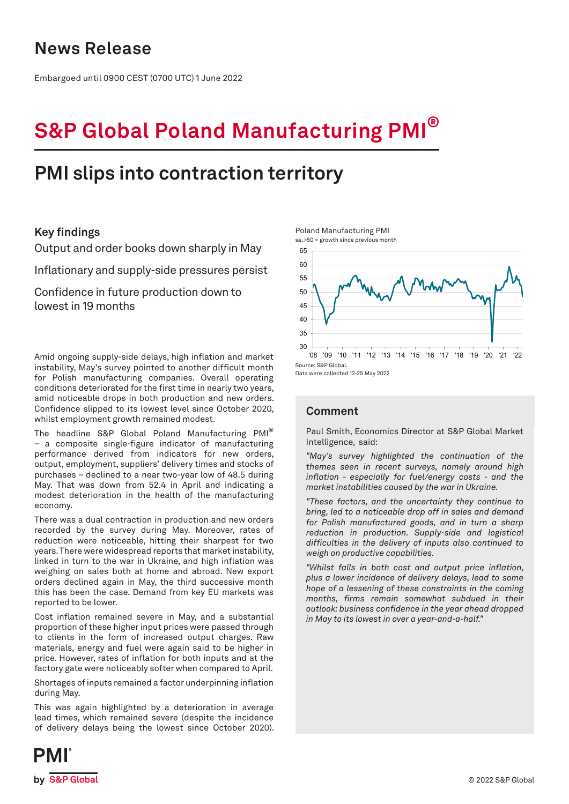## **News Release**

Embargoed until 0900 CEST (0700 UTC) 1 June 2022

# **S&P Global Poland Manufacturing PMI®**

## **PMI slips into contraction territory**

## **Key findings**

Output and order books down sharply in May

Inflationary and supply-side pressures persist

Confidence in future production down to lowest in 19 months

Amid ongoing supply-side delays, high inflation and market instability, May's survey pointed to another difficult month for Polish manufacturing companies. Overall operating conditions deteriorated for the first time in nearly two years, amid noticeable drops in both production and new orders. Confidence slipped to its lowest level since October 2020, whilst employment growth remained modest.

The headline S&P Global Poland Manufacturing PMI® – a composite single-figure indicator of manufacturing performance derived from indicators for new orders, output, employment, suppliers' delivery times and stocks of purchases – declined to a near two-year low of 48.5 during May. That was down from 52.4 in April and indicating a modest deterioration in the health of the manufacturing economy.

There was a dual contraction in production and new orders recorded by the survey during May. Moreover, rates of reduction were noticeable, hitting their sharpest for two years. There were widespread reports that market instability, linked in turn to the war in Ukraine, and high inflation was weighing on sales both at home and abroad. New export orders declined again in May, the third successive month this has been the case. Demand from key EU markets was reported to be lower.

Cost inflation remained severe in May, and a substantial proportion of these higher input prices were passed through to clients in the form of increased output charges. Raw materials, energy and fuel were again said to be higher in price. However, rates of inflation for both inputs and at the factory gate were noticeably softer when compared to April.

Shortages of inputs remained a factor underpinning inflation during May.

This was again highlighted by a deterioration in average lead times, which remained severe (despite the incidence of delivery delays being the lowest since October 2020).

30 35 40 45 50 55  $60$ 65 '08 '09 '10 '11 '12 '13 '14 '15 '16 '17 '18 '19 '20 '21 '22 Source: S&P Global.

Data were collected 12-25 May 2022

## **Comment**

Paul Smith, Economics Director at S&P Global Market Intelligence, said:

*"May's survey highlighted the continuation of the themes seen in recent surveys, namely around high inflation - especially for fuel/energy costs - and the market instabilities caused by the war in Ukraine.* 

*"These factors, and the uncertainty they continue to bring, led to a noticeable drop off in sales and demand for Polish manufactured goods, and in turn a sharp reduction in production. Supply-side and logistical difficulties in the delivery of inputs also continued to weigh on productive capabilities.*

*"Whilst falls in both cost and output price inflation, plus a lower incidence of delivery delays, lead to some hope of a lessening of these constraints in the coming months, firms remain somewhat subdued in their outlook: business confidence in the year ahead dropped in May to its lowest in over a year-and-a-half."*